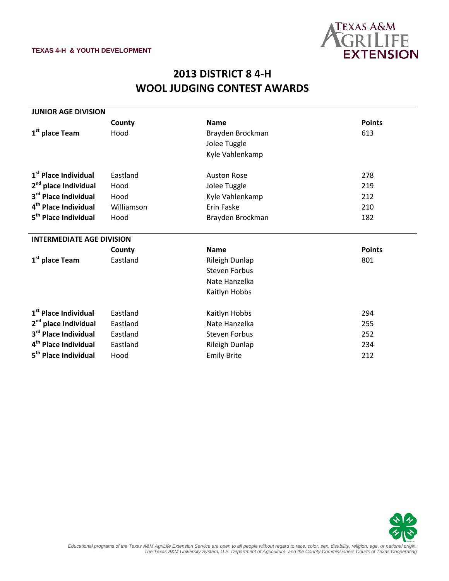

## **2013 DISTRICT 8 4-H WOOL JUDGING CONTEST AWARDS**

| <b>JUNIOR AGE DIVISION</b>       |            |                                      |               |  |
|----------------------------------|------------|--------------------------------------|---------------|--|
|                                  | County     | <b>Name</b>                          | <b>Points</b> |  |
| 1 <sup>st</sup> place Team       | Hood       | Brayden Brockman                     | 613           |  |
|                                  |            | Jolee Tuggle                         |               |  |
|                                  |            | Kyle Vahlenkamp                      |               |  |
| 1 <sup>st</sup> Place Individual | Eastland   | <b>Auston Rose</b>                   | 278           |  |
| 2 <sup>nd</sup> place Individual | Hood       | Jolee Tuggle                         | 219           |  |
| 3 <sup>rd</sup> Place Individual | Hood       | Kyle Vahlenkamp                      | 212           |  |
| 4 <sup>th</sup> Place Individual | Williamson | Erin Faske                           | 210           |  |
| 5 <sup>th</sup> Place Individual | Hood       |                                      | 182           |  |
|                                  |            | Brayden Brockman                     |               |  |
| <b>INTERMEDIATE AGE DIVISION</b> |            |                                      |               |  |
|                                  | County     | <b>Name</b>                          | <b>Points</b> |  |
| 1 <sup>st</sup> place Team       | Eastland   | Rileigh Dunlap                       | 801           |  |
|                                  |            | <b>Steven Forbus</b>                 |               |  |
|                                  |            | Nate Hanzelka                        |               |  |
|                                  |            | Kaitlyn Hobbs                        |               |  |
| 1 <sup>st</sup> Place Individual | Eastland   | Kaitlyn Hobbs                        | 294           |  |
| 2 <sup>nd</sup> place Individual | Eastland   | Nate Hanzelka                        | 255           |  |
| 3rd Place Individual             |            |                                      |               |  |
|                                  | Eastland   | <b>Steven Forbus</b>                 | 252           |  |
| 4 <sup>th</sup> Place Individual | Eastland   | Rileigh Dunlap<br><b>Emily Brite</b> | 234<br>212    |  |
| 5 <sup>th</sup> Place Individual | Hood       |                                      |               |  |